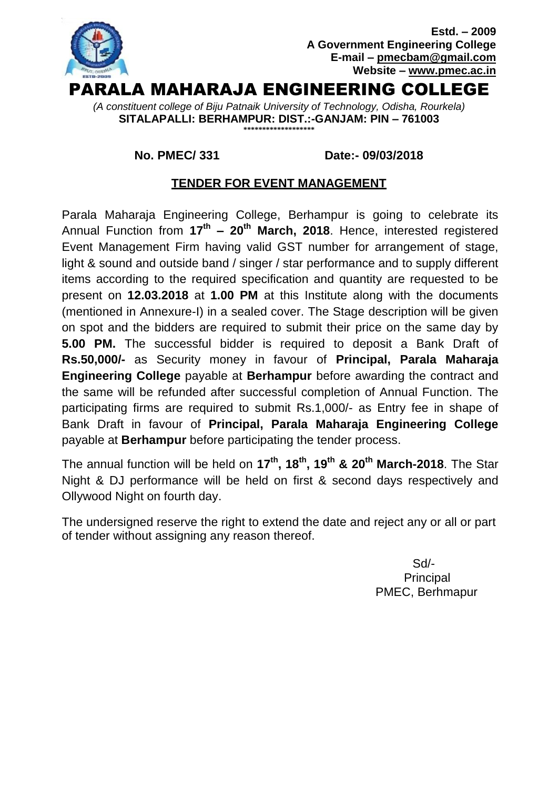

#### **No. PMEC/ 331 Date:- 09/03/2018**

## **TENDER FOR EVENT MANAGEMENT**

Parala Maharaja Engineering College, Berhampur is going to celebrate its Annual Function from **17th – 20th March, 2018**. Hence, interested registered Event Management Firm having valid GST number for arrangement of stage, light & sound and outside band / singer / star performance and to supply different items according to the required specification and quantity are requested to be present on **12.03.2018** at **1.00 PM** at this Institute along with the documents (mentioned in Annexure-I) in a sealed cover. The Stage description will be given on spot and the bidders are required to submit their price on the same day by **5.00 PM.** The successful bidder is required to deposit a Bank Draft of **Rs.50,000/-** as Security money in favour of **Principal, Parala Maharaja Engineering College** payable at **Berhampur** before awarding the contract and the same will be refunded after successful completion of Annual Function. The participating firms are required to submit Rs.1,000/- as Entry fee in shape of Bank Draft in favour of **Principal, Parala Maharaja Engineering College** payable at **Berhampur** before participating the tender process.

The annual function will be held on **17th, 18th, 19th & 20th March-2018**. The Star Night & DJ performance will be held on first & second days respectively and Ollywood Night on fourth day.

The undersigned reserve the right to extend the date and reject any or all or part of tender without assigning any reason thereof.

> Sd/- **Principal** PMEC, Berhmapur